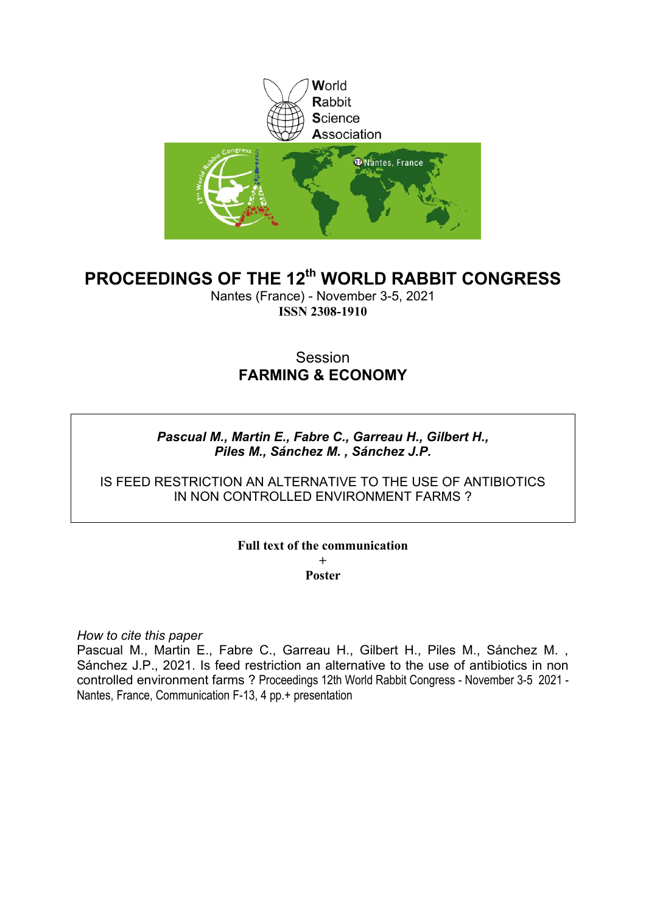

# **PROCEEDINGS OF THE 12th WORLD RABBIT CONGRESS**

Nantes (France) - November 3-5, 2021 **ISSN 2308-1910**

# Session **FARMING & ECONOMY**

# *Pascual M., Martin E., Fabre C., Garreau H., Gilbert H., Piles M., Sánchez M. , Sánchez J.P.*

IS FEED RESTRICTION AN ALTERNATIVE TO THE USE OF ANTIBIOTICS IN NON CONTROLLED ENVIRONMENT FARMS ?

#### **Full text of the communication +**

**Poster**

*How to cite this paper*

Pascual M., Martin E., Fabre C., Garreau H., Gilbert H., Piles M., Sánchez M. , Sánchez J.P., 2021. Is feed restriction an alternative to the use of antibiotics in non controlled environment farms ? Proceedings 12th World Rabbit Congress - November 3-5 2021 - Nantes, France, Communication F-13, 4 pp.+ presentation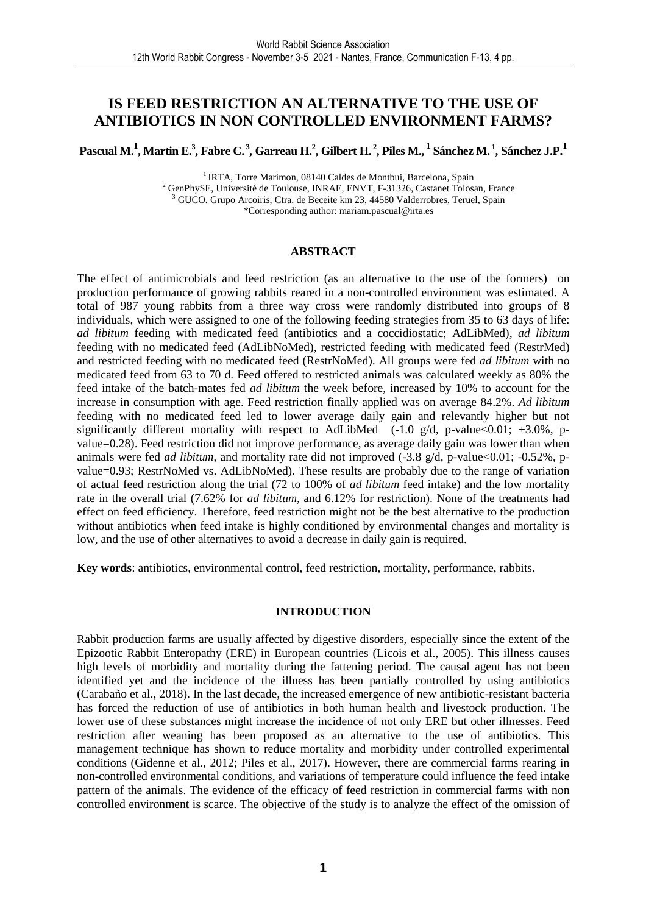# **IS FEED RESTRICTION AN ALTERNATIVE TO THE USE OF ANTIBIOTICS IN NON CONTROLLED ENVIRONMENT FARMS?**

Pascual M.<sup>1</sup>, Martin E.<sup>3</sup>, Fabre C.<sup>3</sup>, Garreau H.<sup>2</sup>, Gilbert H.<sup>2</sup>, Piles M., <sup>1</sup> Sánchez M. <sup>1</sup>, Sánchez J.P. <sup>1</sup>

<sup>1</sup> IRTA, Torre Marimon, 08140 Caldes de Montbui, Barcelona, Spain

<sup>2</sup> GenPhySE, Université de Toulouse, INRAE, ENVT, F-31326, Castanet Tolosan, France <sup>3</sup> GUCO. Grupo Arcoiris, Ctra. de Beceite km 23, 44580 Valderrobres, Teruel, Spain \*Corresponding author: mariam.pascual@irta.es

#### **ABSTRACT**

The effect of antimicrobials and feed restriction (as an alternative to the use of the formers) on production performance of growing rabbits reared in a non-controlled environment was estimated. A total of 987 young rabbits from a three way cross were randomly distributed into groups of 8 individuals, which were assigned to one of the following feeding strategies from 35 to 63 days of life: *ad libitum* feeding with medicated feed (antibiotics and a coccidiostatic; AdLibMed), *ad libitum* feeding with no medicated feed (AdLibNoMed), restricted feeding with medicated feed (RestrMed) and restricted feeding with no medicated feed (RestrNoMed). All groups were fed *ad libitum* with no medicated feed from 63 to 70 d. Feed offered to restricted animals was calculated weekly as 80% the feed intake of the batch-mates fed *ad libitum* the week before, increased by 10% to account for the increase in consumption with age. Feed restriction finally applied was on average 84.2%. *Ad libitum* feeding with no medicated feed led to lower average daily gain and relevantly higher but not significantly different mortality with respect to AdLibMed  $(-1.0 \text{ g/d}, \text{p-value} < 0.01; +3.0\%$ , pvalue=0.28). Feed restriction did not improve performance, as average daily gain was lower than when animals were fed *ad libitum*, and mortality rate did not improved (-3.8 g/d, p-value<0.01; -0.52%, pvalue=0.93; RestrNoMed vs. AdLibNoMed). These results are probably due to the range of variation of actual feed restriction along the trial (72 to 100% of *ad libitum* feed intake) and the low mortality rate in the overall trial (7.62% for *ad libitum*, and 6.12% for restriction). None of the treatments had effect on feed efficiency. Therefore, feed restriction might not be the best alternative to the production without antibiotics when feed intake is highly conditioned by environmental changes and mortality is low, and the use of other alternatives to avoid a decrease in daily gain is required.

**Key words**: antibiotics, environmental control, feed restriction, mortality, performance, rabbits.

### **INTRODUCTION**

Rabbit production farms are usually affected by digestive disorders, especially since the extent of the Epizootic Rabbit Enteropathy (ERE) in European countries (Licois et al., 2005). This illness causes high levels of morbidity and mortality during the fattening period. The causal agent has not been identified yet and the incidence of the illness has been partially controlled by using antibiotics (Carabaño et al., 2018). In the last decade, the increased emergence of new antibiotic-resistant bacteria has forced the reduction of use of antibiotics in both human health and livestock production. The lower use of these substances might increase the incidence of not only ERE but other illnesses. Feed restriction after weaning has been proposed as an alternative to the use of antibiotics. This management technique has shown to reduce mortality and morbidity under controlled experimental conditions (Gidenne et al., 2012; Piles et al., 2017). However, there are commercial farms rearing in non-controlled environmental conditions, and variations of temperature could influence the feed intake pattern of the animals. The evidence of the efficacy of feed restriction in commercial farms with non controlled environment is scarce. The objective of the study is to analyze the effect of the omission of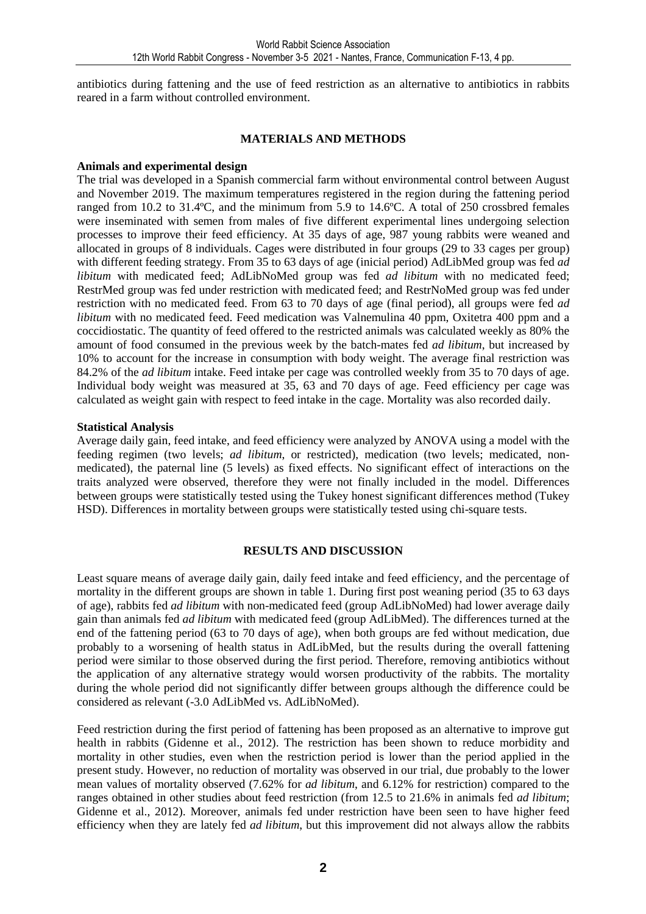antibiotics during fattening and the use of feed restriction as an alternative to antibiotics in rabbits reared in a farm without controlled environment.

### **MATERIALS AND METHODS**

## **Animals and experimental design**

The trial was developed in a Spanish commercial farm without environmental control between August and November 2019. The maximum temperatures registered in the region during the fattening period ranged from 10.2 to 31.4ºC, and the minimum from 5.9 to 14.6ºC. A total of 250 crossbred females were inseminated with semen from males of five different experimental lines undergoing selection processes to improve their feed efficiency. At 35 days of age, 987 young rabbits were weaned and allocated in groups of 8 individuals. Cages were distributed in four groups (29 to 33 cages per group) with different feeding strategy. From 35 to 63 days of age (inicial period) AdLibMed group was fed *ad libitum* with medicated feed; AdLibNoMed group was fed *ad libitum* with no medicated feed; RestrMed group was fed under restriction with medicated feed; and RestrNoMed group was fed under restriction with no medicated feed. From 63 to 70 days of age (final period), all groups were fed *ad libitum* with no medicated feed. Feed medication was Valnemulina 40 ppm, Oxitetra 400 ppm and a coccidiostatic. The quantity of feed offered to the restricted animals was calculated weekly as 80% the amount of food consumed in the previous week by the batch-mates fed *ad libitum*, but increased by 10% to account for the increase in consumption with body weight. The average final restriction was 84.2% of the *ad libitum* intake. Feed intake per cage was controlled weekly from 35 to 70 days of age. Individual body weight was measured at 35, 63 and 70 days of age. Feed efficiency per cage was calculated as weight gain with respect to feed intake in the cage. Mortality was also recorded daily.

## **Statistical Analysis**

Average daily gain, feed intake, and feed efficiency were analyzed by ANOVA using a model with the feeding regimen (two levels; *ad libitum*, or restricted), medication (two levels; medicated, nonmedicated), the paternal line (5 levels) as fixed effects. No significant effect of interactions on the traits analyzed were observed, therefore they were not finally included in the model. Differences between groups were statistically tested using the Tukey honest significant differences method (Tukey HSD). Differences in mortality between groups were statistically tested using chi-square tests.

## **RESULTS AND DISCUSSION**

Least square means of average daily gain, daily feed intake and feed efficiency, and the percentage of mortality in the different groups are shown in table 1. During first post weaning period (35 to 63 days of age), rabbits fed *ad libitum* with non-medicated feed (group AdLibNoMed) had lower average daily gain than animals fed *ad libitum* with medicated feed (group AdLibMed). The differences turned at the end of the fattening period (63 to 70 days of age), when both groups are fed without medication, due probably to a worsening of health status in AdLibMed, but the results during the overall fattening period were similar to those observed during the first period. Therefore, removing antibiotics without the application of any alternative strategy would worsen productivity of the rabbits. The mortality during the whole period did not significantly differ between groups although the difference could be considered as relevant (-3.0 AdLibMed vs. AdLibNoMed).

Feed restriction during the first period of fattening has been proposed as an alternative to improve gut health in rabbits (Gidenne et al., 2012). The restriction has been shown to reduce morbidity and mortality in other studies, even when the restriction period is lower than the period applied in the present study. However, no reduction of mortality was observed in our trial, due probably to the lower mean values of mortality observed (7.62% for *ad libitum*, and 6.12% for restriction) compared to the ranges obtained in other studies about feed restriction (from 12.5 to 21.6% in animals fed *ad libitum*; Gidenne et al., 2012). Moreover, animals fed under restriction have been seen to have higher feed efficiency when they are lately fed *ad libitum*, but this improvement did not always allow the rabbits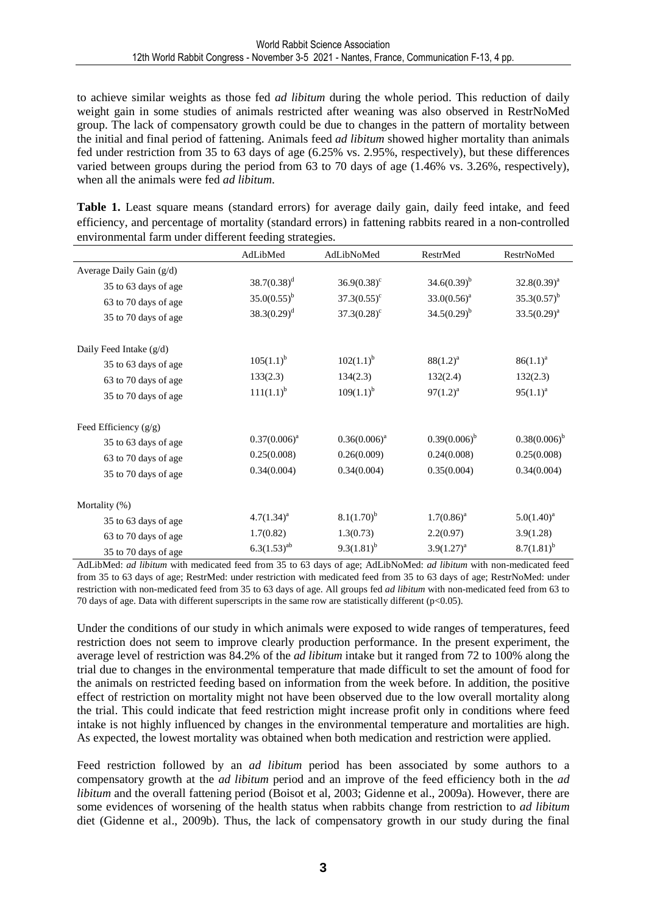to achieve similar weights as those fed *ad libitum* during the whole period. This reduction of daily weight gain in some studies of animals restricted after weaning was also observed in RestrNoMed group. The lack of compensatory growth could be due to changes in the pattern of mortality between the initial and final period of fattening. Animals feed *ad libitum* showed higher mortality than animals fed under restriction from 35 to 63 days of age (6.25% vs. 2.95%, respectively), but these differences varied between groups during the period from 63 to 70 days of age (1.46% vs. 3.26%, respectively), when all the animals were fed *ad libitum*.

Table 1. Least square means (standard errors) for average daily gain, daily feed intake, and feed efficiency, and percentage of mortality (standard errors) in fattening rabbits reared in a non-controlled environmental farm under different feeding strategies.

|                            | AdLibMed         | AdLibNoMed           | RestrMed          | RestrNoMed        |
|----------------------------|------------------|----------------------|-------------------|-------------------|
| Average Daily Gain $(g/d)$ |                  |                      |                   |                   |
| 35 to 63 days of age       | $38.7(0.38)^d$   | $36.9(0.38)^c$       | $34.6(0.39)^{b}$  | $32.8(0.39)^a$    |
| 63 to 70 days of age       | $35.0(0.55)^{b}$ | $37.3(0.55)^{\circ}$ | $33.0(0.56)^a$    | $35.3(0.57)^{b}$  |
| 35 to 70 days of age       | $38.3(0.29)^d$   | $37.3(0.28)^c$       | $34.5(0.29)^{b}$  | $33.5(0.29)^a$    |
| Daily Feed Intake (g/d)    |                  |                      |                   |                   |
| 35 to 63 days of age       | $105(1.1)^{b}$   | $102(1.1)^{b}$       | $88(1.2)^a$       | $86(1.1)^a$       |
| 63 to 70 days of age       | 133(2.3)         | 134(2.3)             | 132(2.4)          | 132(2.3)          |
| 35 to 70 days of age       | $111(1.1)^{b}$   | $109(1.1)^{b}$       | $97(1.2)^a$       | $95(1.1)^{a}$     |
| Feed Efficiency $(g/g)$    |                  |                      |                   |                   |
| 35 to 63 days of age       | $0.37(0.006)^a$  | $0.36(0.006)^a$      | $0.39(0.006)^{b}$ | $0.38(0.006)^{b}$ |
| 63 to 70 days of age       | 0.25(0.008)      | 0.26(0.009)          | 0.24(0.008)       | 0.25(0.008)       |
| 35 to 70 days of age       | 0.34(0.004)      | 0.34(0.004)          | 0.35(0.004)       | 0.34(0.004)       |
| Mortality (%)              |                  |                      |                   |                   |
| 35 to 63 days of age       | $4.7(1.34)^a$    | $8.1(1.70)^{b}$      | $1.7(0.86)^a$     | $5.0(1.40)^a$     |
| 63 to 70 days of age       | 1.7(0.82)        | 1.3(0.73)            | 2.2(0.97)         | 3.9(1.28)         |
| 35 to 70 days of age       | $6.3(1.53)^{ab}$ | $9.3(1.81)^{b}$      | $3.9(1.27)^{a}$   | $8.7(1.81)^{b}$   |

AdLibMed: *ad libitum* with medicated feed from 35 to 63 days of age; AdLibNoMed: *ad libitum* with non-medicated feed from 35 to 63 days of age; RestrMed: under restriction with medicated feed from 35 to 63 days of age; RestrNoMed: under restriction with non-medicated feed from 35 to 63 days of age. All groups fed *ad libitum* with non-medicated feed from 63 to 70 days of age. Data with different superscripts in the same row are statistically different (p<0.05).

Under the conditions of our study in which animals were exposed to wide ranges of temperatures, feed restriction does not seem to improve clearly production performance. In the present experiment, the average level of restriction was 84.2% of the *ad libitum* intake but it ranged from 72 to 100% along the trial due to changes in the environmental temperature that made difficult to set the amount of food for the animals on restricted feeding based on information from the week before. In addition, the positive effect of restriction on mortality might not have been observed due to the low overall mortality along the trial. This could indicate that feed restriction might increase profit only in conditions where feed intake is not highly influenced by changes in the environmental temperature and mortalities are high. As expected, the lowest mortality was obtained when both medication and restriction were applied.

Feed restriction followed by an *ad libitum* period has been associated by some authors to a compensatory growth at the *ad libitum* period and an improve of the feed efficiency both in the *ad libitum* and the overall fattening period (Boisot et al, 2003; Gidenne et al., 2009a). However, there are some evidences of worsening of the health status when rabbits change from restriction to *ad libitum* diet (Gidenne et al., 2009b). Thus, the lack of compensatory growth in our study during the final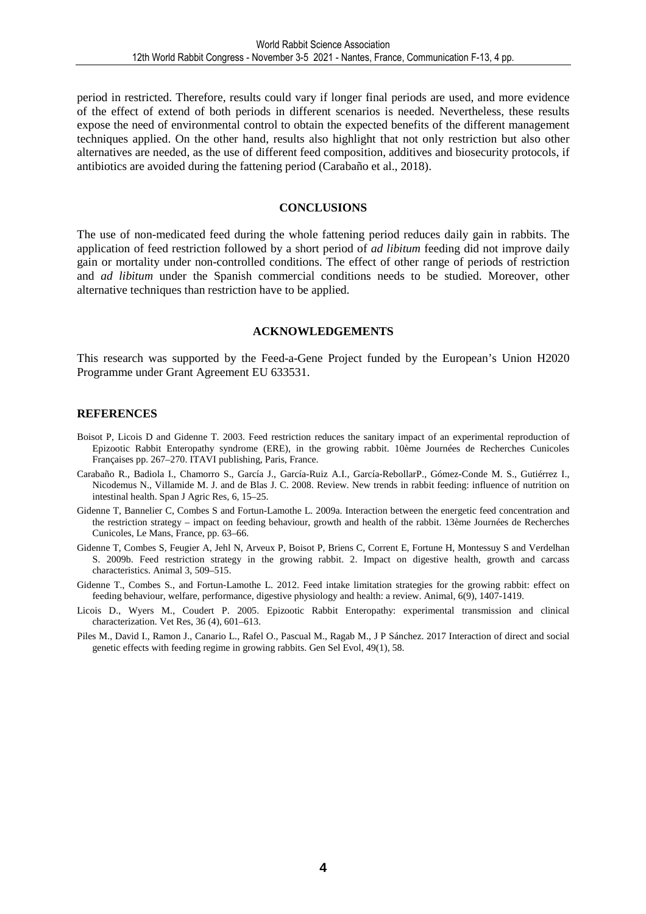period in restricted. Therefore, results could vary if longer final periods are used, and more evidence of the effect of extend of both periods in different scenarios is needed. Nevertheless, these results expose the need of environmental control to obtain the expected benefits of the different management techniques applied. On the other hand, results also highlight that not only restriction but also other alternatives are needed, as the use of different feed composition, additives and biosecurity protocols, if antibiotics are avoided during the fattening period (Carabaño et al., 2018).

#### **CONCLUSIONS**

The use of non-medicated feed during the whole fattening period reduces daily gain in rabbits. The application of feed restriction followed by a short period of *ad libitum* feeding did not improve daily gain or mortality under non-controlled conditions. The effect of other range of periods of restriction and *ad libitum* under the Spanish commercial conditions needs to be studied. Moreover, other alternative techniques than restriction have to be applied.

#### **ACKNOWLEDGEMENTS**

This research was supported by the Feed-a-Gene Project funded by the European's Union H2020 Programme under Grant Agreement EU 633531.

#### **REFERENCES**

- Boisot P, Licois D and Gidenne T. 2003. Feed restriction reduces the sanitary impact of an experimental reproduction of Epizootic Rabbit Enteropathy syndrome (ERE), in the growing rabbit. 10ème Journées de Recherches Cunicoles Françaises pp. 267–270. ITAVI publishing, Paris, France.
- Carabaño R., Badiola I., Chamorro S., García J., García-Ruiz A.I., García-RebollarP., Gómez-Conde M. S., Gutiérrez I., Nicodemus N., Villamide M. J. and de Blas J. C. 2008. Review. New trends in rabbit feeding: influence of nutrition on intestinal health. Span J Agric Res, 6, 15–25.
- Gidenne T, Bannelier C, Combes S and Fortun-Lamothe L. 2009a. Interaction between the energetic feed concentration and the restriction strategy – impact on feeding behaviour, growth and health of the rabbit. 13ème Journées de Recherches Cunicoles, Le Mans, France, pp. 63–66.
- Gidenne T, Combes S, Feugier A, Jehl N, Arveux P, Boisot P, Briens C, Corrent E, Fortune H, Montessuy S and Verdelhan S. 2009b. Feed restriction strategy in the growing rabbit. 2. Impact on digestive health, growth and carcass characteristics. Animal 3, 509–515.
- Gidenne T., Combes S., and Fortun-Lamothe L. 2012. Feed intake limitation strategies for the growing rabbit: effect on feeding behaviour, welfare, performance, digestive physiology and health: a review. Animal, 6(9), 1407-1419.
- Licois D., Wyers M., Coudert P. 2005. Epizootic Rabbit Enteropathy: experimental transmission and clinical characterization. Vet Res, 36 (4), 601–613.
- Piles M., David I., Ramon J., Canario L., Rafel O., Pascual M., Ragab M., J P Sánchez. 2017 Interaction of direct and social genetic effects with feeding regime in growing rabbits. Gen Sel Evol, 49(1), 58.